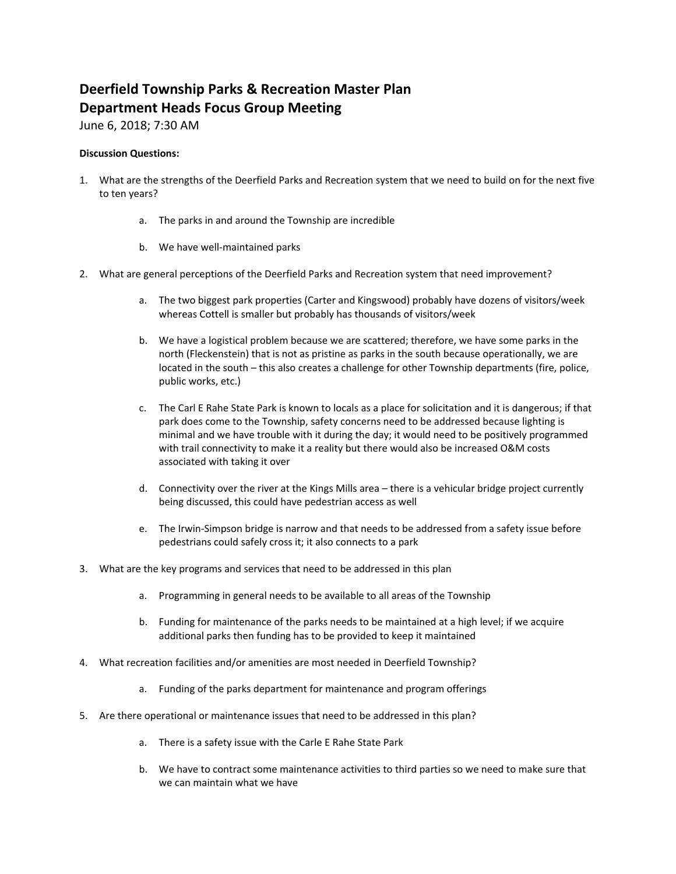# **Deerfield Township Parks & Recreation Master Plan Department Heads Focus Group Meeting**

June 6, 2018; 7:30 AM

- 1. What are the strengths of the Deerfield Parks and Recreation system that we need to build on for the next five to ten years?
	- a. The parks in and around the Township are incredible
	- b. We have well‐maintained parks
- 2. What are general perceptions of the Deerfield Parks and Recreation system that need improvement?
	- a. The two biggest park properties (Carter and Kingswood) probably have dozens of visitors/week whereas Cottell is smaller but probably has thousands of visitors/week
	- b. We have a logistical problem because we are scattered; therefore, we have some parks in the north (Fleckenstein) that is not as pristine as parks in the south because operationally, we are located in the south – this also creates a challenge for other Township departments (fire, police, public works, etc.)
	- c. The Carl E Rahe State Park is known to locals as a place for solicitation and it is dangerous; if that park does come to the Township, safety concerns need to be addressed because lighting is minimal and we have trouble with it during the day; it would need to be positively programmed with trail connectivity to make it a reality but there would also be increased O&M costs associated with taking it over
	- d. Connectivity over the river at the Kings Mills area there is a vehicular bridge project currently being discussed, this could have pedestrian access as well
	- e. The Irwin‐Simpson bridge is narrow and that needs to be addressed from a safety issue before pedestrians could safely cross it; it also connects to a park
- 3. What are the key programs and services that need to be addressed in this plan
	- a. Programming in general needs to be available to all areas of the Township
	- b. Funding for maintenance of the parks needs to be maintained at a high level; if we acquire additional parks then funding has to be provided to keep it maintained
- 4. What recreation facilities and/or amenities are most needed in Deerfield Township?
	- a. Funding of the parks department for maintenance and program offerings
- 5. Are there operational or maintenance issues that need to be addressed in this plan?
	- a. There is a safety issue with the Carle E Rahe State Park
	- b. We have to contract some maintenance activities to third parties so we need to make sure that we can maintain what we have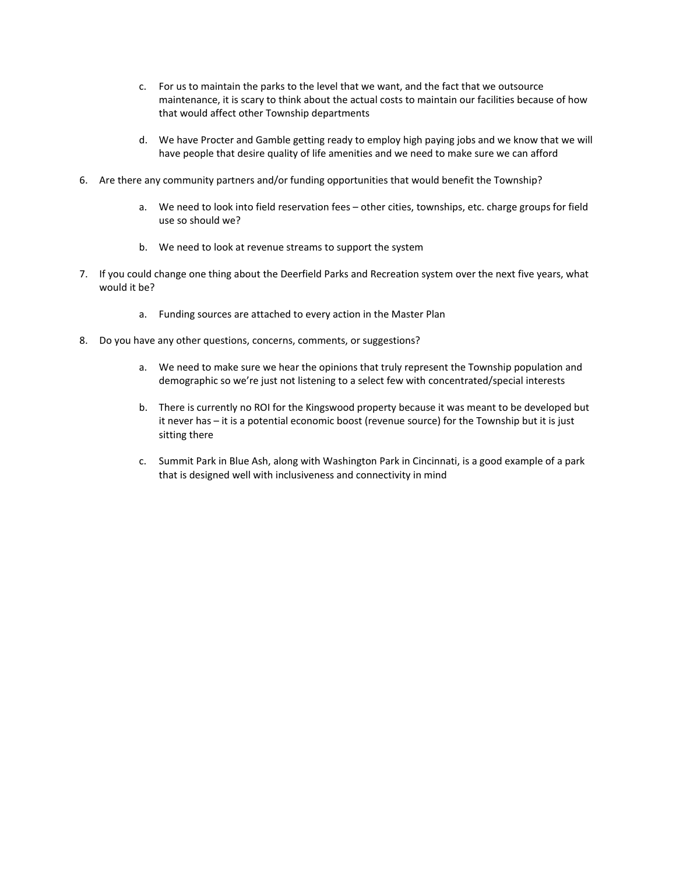- c. For us to maintain the parks to the level that we want, and the fact that we outsource maintenance, it is scary to think about the actual costs to maintain our facilities because of how that would affect other Township departments
- d. We have Procter and Gamble getting ready to employ high paying jobs and we know that we will have people that desire quality of life amenities and we need to make sure we can afford
- 6. Are there any community partners and/or funding opportunities that would benefit the Township?
	- a. We need to look into field reservation fees other cities, townships, etc. charge groups for field use so should we?
	- b. We need to look at revenue streams to support the system
- 7. If you could change one thing about the Deerfield Parks and Recreation system over the next five years, what would it be?
	- a. Funding sources are attached to every action in the Master Plan
- 8. Do you have any other questions, concerns, comments, or suggestions?
	- a. We need to make sure we hear the opinions that truly represent the Township population and demographic so we're just not listening to a select few with concentrated/special interests
	- b. There is currently no ROI for the Kingswood property because it was meant to be developed but it never has – it is a potential economic boost (revenue source) for the Township but it is just sitting there
	- c. Summit Park in Blue Ash, along with Washington Park in Cincinnati, is a good example of a park that is designed well with inclusiveness and connectivity in mind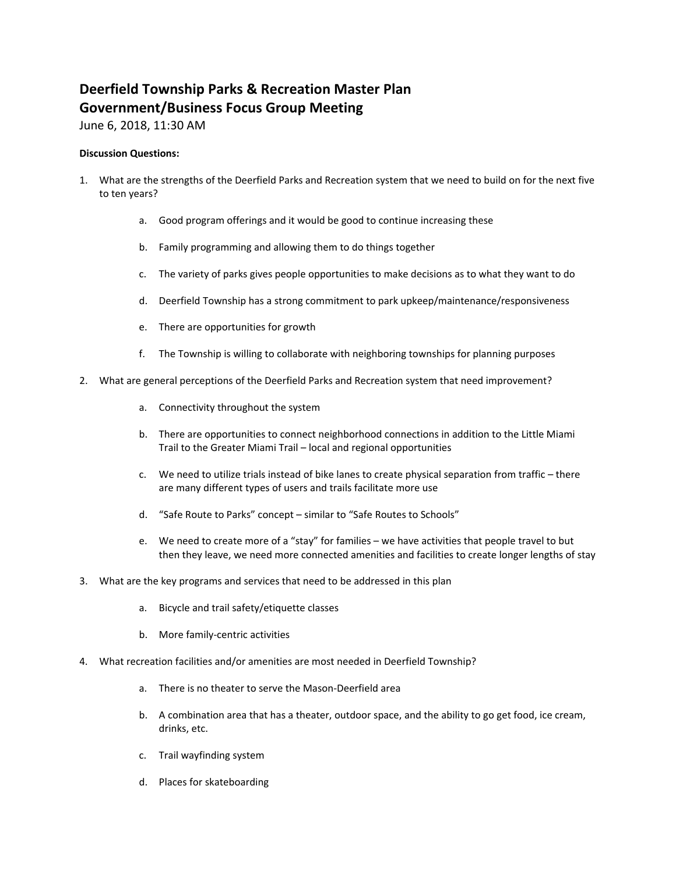## **Deerfield Township Parks & Recreation Master Plan Government/Business Focus Group Meeting**

June 6, 2018, 11:30 AM

- 1. What are the strengths of the Deerfield Parks and Recreation system that we need to build on for the next five to ten years?
	- a. Good program offerings and it would be good to continue increasing these
	- b. Family programming and allowing them to do things together
	- c. The variety of parks gives people opportunities to make decisions as to what they want to do
	- d. Deerfield Township has a strong commitment to park upkeep/maintenance/responsiveness
	- e. There are opportunities for growth
	- f. The Township is willing to collaborate with neighboring townships for planning purposes
- 2. What are general perceptions of the Deerfield Parks and Recreation system that need improvement?
	- a. Connectivity throughout the system
	- b. There are opportunities to connect neighborhood connections in addition to the Little Miami Trail to the Greater Miami Trail – local and regional opportunities
	- c. We need to utilize trials instead of bike lanes to create physical separation from traffic there are many different types of users and trails facilitate more use
	- d. "Safe Route to Parks" concept similar to "Safe Routes to Schools"
	- e. We need to create more of a "stay" for families we have activities that people travel to but then they leave, we need more connected amenities and facilities to create longer lengths of stay
- 3. What are the key programs and services that need to be addressed in this plan
	- a. Bicycle and trail safety/etiquette classes
	- b. More family‐centric activities
- 4. What recreation facilities and/or amenities are most needed in Deerfield Township?
	- a. There is no theater to serve the Mason‐Deerfield area
	- b. A combination area that has a theater, outdoor space, and the ability to go get food, ice cream, drinks, etc.
	- c. Trail wayfinding system
	- d. Places for skateboarding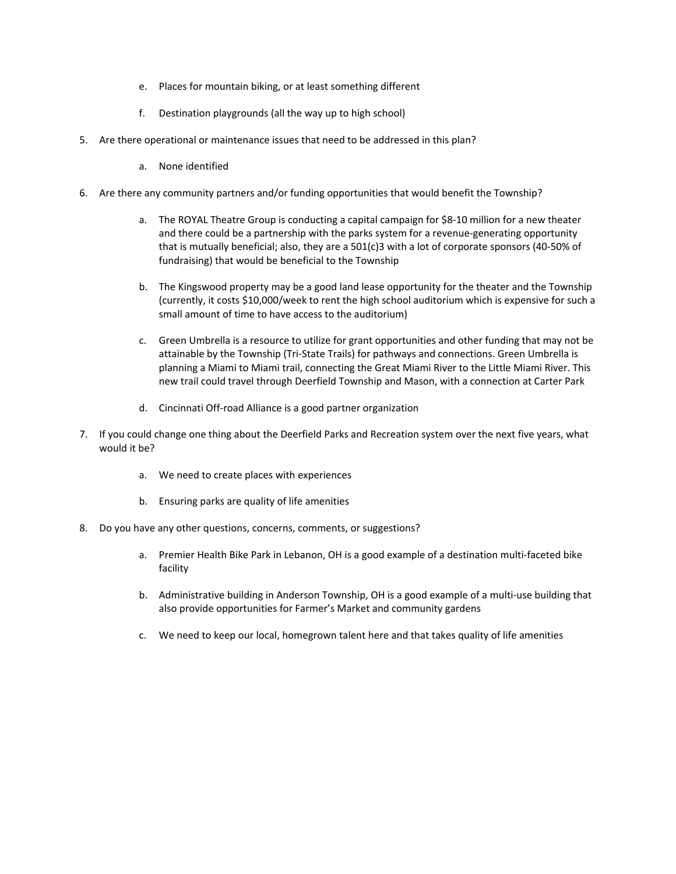- e. Places for mountain biking, or at least something different
- f. Destination playgrounds (all the way up to high school)
- 5. Are there operational or maintenance issues that need to be addressed in this plan?
	- a. None identified
- 6. Are there any community partners and/or funding opportunities that would benefit the Township?
	- a. The ROYAL Theatre Group is conducting a capital campaign for \$8‐10 million for a new theater and there could be a partnership with the parks system for a revenue‐generating opportunity that is mutually beneficial; also, they are a 501(c)3 with a lot of corporate sponsors (40‐50% of fundraising) that would be beneficial to the Township
	- b. The Kingswood property may be a good land lease opportunity for the theater and the Township (currently, it costs \$10,000/week to rent the high school auditorium which is expensive for such a small amount of time to have access to the auditorium)
	- c. Green Umbrella is a resource to utilize for grant opportunities and other funding that may not be attainable by the Township (Tri‐State Trails) for pathways and connections. Green Umbrella is planning a Miami to Miami trail, connecting the Great Miami River to the Little Miami River. This new trail could travel through Deerfield Township and Mason, with a connection at Carter Park
	- d. Cincinnati Off‐road Alliance is a good partner organization
- 7. If you could change one thing about the Deerfield Parks and Recreation system over the next five years, what would it be?
	- a. We need to create places with experiences
	- b. Ensuring parks are quality of life amenities
- 8. Do you have any other questions, concerns, comments, or suggestions?
	- a. Premier Health Bike Park in Lebanon, OH is a good example of a destination multi‐faceted bike facility
	- b. Administrative building in Anderson Township, OH is a good example of a multi-use building that also provide opportunities for Farmer's Market and community gardens
	- c. We need to keep our local, homegrown talent here and that takes quality of life amenities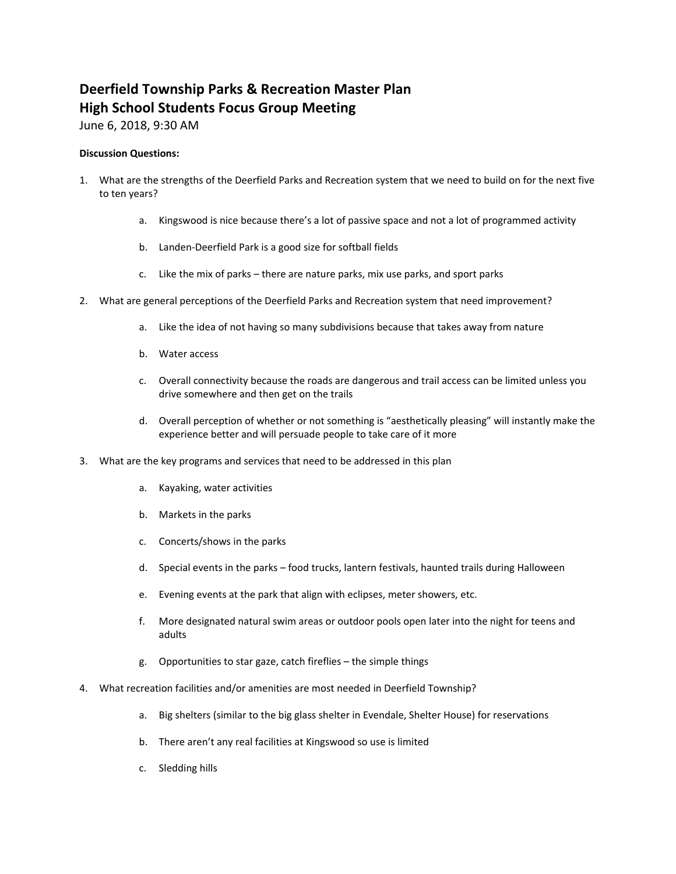# **Deerfield Township Parks & Recreation Master Plan High School Students Focus Group Meeting**

June 6, 2018, 9:30 AM

- 1. What are the strengths of the Deerfield Parks and Recreation system that we need to build on for the next five to ten years?
	- a. Kingswood is nice because there's a lot of passive space and not a lot of programmed activity
	- b. Landen‐Deerfield Park is a good size for softball fields
	- c. Like the mix of parks there are nature parks, mix use parks, and sport parks
- 2. What are general perceptions of the Deerfield Parks and Recreation system that need improvement?
	- a. Like the idea of not having so many subdivisions because that takes away from nature
	- b. Water access
	- c. Overall connectivity because the roads are dangerous and trail access can be limited unless you drive somewhere and then get on the trails
	- d. Overall perception of whether or not something is "aesthetically pleasing" will instantly make the experience better and will persuade people to take care of it more
- 3. What are the key programs and services that need to be addressed in this plan
	- a. Kayaking, water activities
	- b. Markets in the parks
	- c. Concerts/shows in the parks
	- d. Special events in the parks food trucks, lantern festivals, haunted trails during Halloween
	- e. Evening events at the park that align with eclipses, meter showers, etc.
	- f. More designated natural swim areas or outdoor pools open later into the night for teens and adults
	- g. Opportunities to star gaze, catch fireflies the simple things
- 4. What recreation facilities and/or amenities are most needed in Deerfield Township?
	- a. Big shelters (similar to the big glass shelter in Evendale, Shelter House) for reservations
	- b. There aren't any real facilities at Kingswood so use is limited
	- c. Sledding hills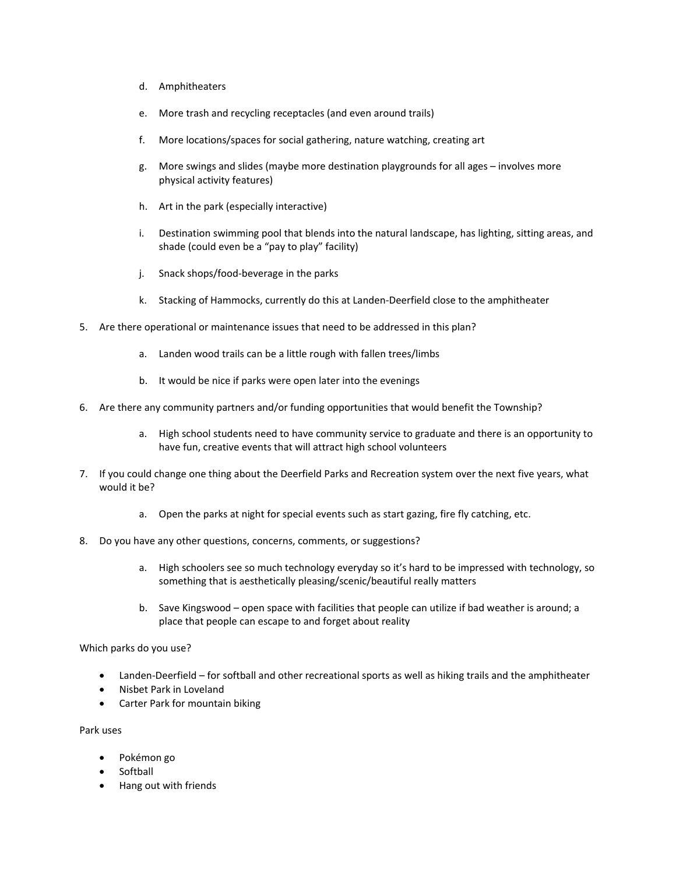- d. Amphitheaters
- e. More trash and recycling receptacles (and even around trails)
- f. More locations/spaces for social gathering, nature watching, creating art
- g. More swings and slides (maybe more destination playgrounds for all ages involves more physical activity features)
- h. Art in the park (especially interactive)
- i. Destination swimming pool that blends into the natural landscape, has lighting, sitting areas, and shade (could even be a "pay to play" facility)
- j. Snack shops/food‐beverage in the parks
- k. Stacking of Hammocks, currently do this at Landen‐Deerfield close to the amphitheater
- 5. Are there operational or maintenance issues that need to be addressed in this plan?
	- a. Landen wood trails can be a little rough with fallen trees/limbs
	- b. It would be nice if parks were open later into the evenings
- 6. Are there any community partners and/or funding opportunities that would benefit the Township?
	- a. High school students need to have community service to graduate and there is an opportunity to have fun, creative events that will attract high school volunteers
- 7. If you could change one thing about the Deerfield Parks and Recreation system over the next five years, what would it be?
	- a. Open the parks at night for special events such as start gazing, fire fly catching, etc.
- 8. Do you have any other questions, concerns, comments, or suggestions?
	- a. High schoolers see so much technology everyday so it's hard to be impressed with technology, so something that is aesthetically pleasing/scenic/beautiful really matters
	- b. Save Kingswood open space with facilities that people can utilize if bad weather is around; a place that people can escape to and forget about reality

Which parks do you use?

- Landen-Deerfield for softball and other recreational sports as well as hiking trails and the amphitheater
- Nisbet Park in Loveland
- Carter Park for mountain biking

Park uses

- Pokémon go
- Softball
- Hang out with friends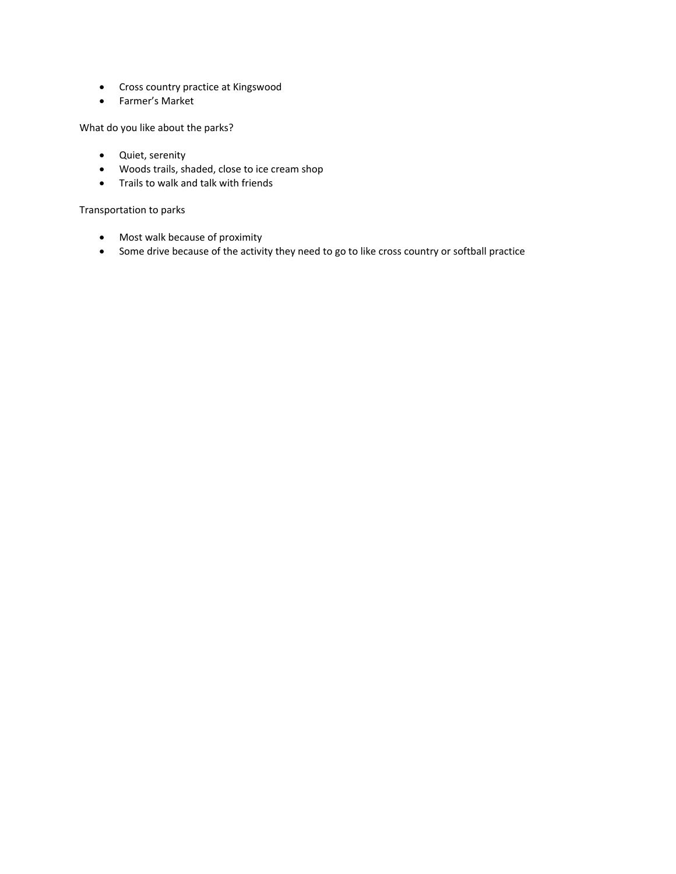- Cross country practice at Kingswood
- Farmer's Market

What do you like about the parks?

- Quiet, serenity
- Woods trails, shaded, close to ice cream shop
- Trails to walk and talk with friends

Transportation to parks

- Most walk because of proximity
- Some drive because of the activity they need to go to like cross country or softball practice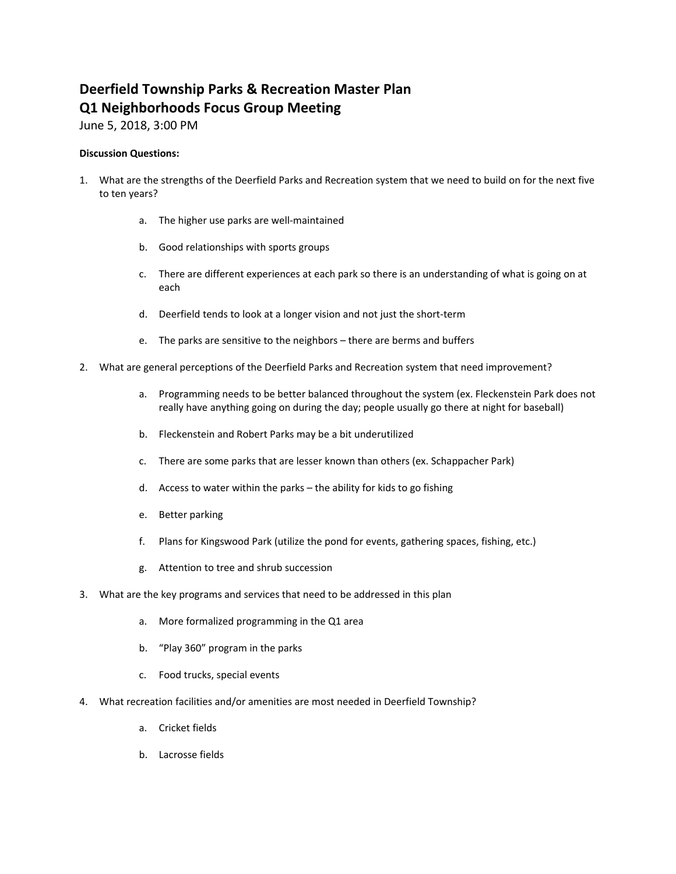# **Deerfield Township Parks & Recreation Master Plan Q1 Neighborhoods Focus Group Meeting**

June 5, 2018, 3:00 PM

- 1. What are the strengths of the Deerfield Parks and Recreation system that we need to build on for the next five to ten years?
	- a. The higher use parks are well‐maintained
	- b. Good relationships with sports groups
	- c. There are different experiences at each park so there is an understanding of what is going on at each
	- d. Deerfield tends to look at a longer vision and not just the short‐term
	- e. The parks are sensitive to the neighbors there are berms and buffers
- 2. What are general perceptions of the Deerfield Parks and Recreation system that need improvement?
	- a. Programming needs to be better balanced throughout the system (ex. Fleckenstein Park does not really have anything going on during the day; people usually go there at night for baseball)
	- b. Fleckenstein and Robert Parks may be a bit underutilized
	- c. There are some parks that are lesser known than others (ex. Schappacher Park)
	- d. Access to water within the parks the ability for kids to go fishing
	- e. Better parking
	- f. Plans for Kingswood Park (utilize the pond for events, gathering spaces, fishing, etc.)
	- g. Attention to tree and shrub succession
- 3. What are the key programs and services that need to be addressed in this plan
	- a. More formalized programming in the Q1 area
	- b. "Play 360" program in the parks
	- c. Food trucks, special events
- 4. What recreation facilities and/or amenities are most needed in Deerfield Township?
	- a. Cricket fields
	- b. Lacrosse fields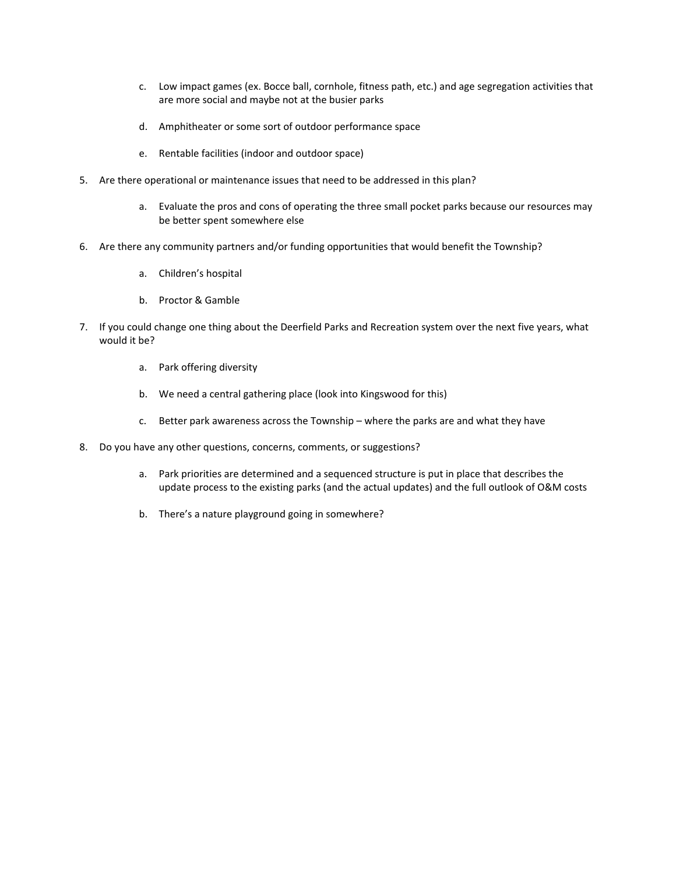- c. Low impact games (ex. Bocce ball, cornhole, fitness path, etc.) and age segregation activities that are more social and maybe not at the busier parks
- d. Amphitheater or some sort of outdoor performance space
- e. Rentable facilities (indoor and outdoor space)
- 5. Are there operational or maintenance issues that need to be addressed in this plan?
	- a. Evaluate the pros and cons of operating the three small pocket parks because our resources may be better spent somewhere else
- 6. Are there any community partners and/or funding opportunities that would benefit the Township?
	- a. Children's hospital
	- b. Proctor & Gamble
- 7. If you could change one thing about the Deerfield Parks and Recreation system over the next five years, what would it be?
	- a. Park offering diversity
	- b. We need a central gathering place (look into Kingswood for this)
	- c. Better park awareness across the Township where the parks are and what they have
- 8. Do you have any other questions, concerns, comments, or suggestions?
	- a. Park priorities are determined and a sequenced structure is put in place that describes the update process to the existing parks (and the actual updates) and the full outlook of O&M costs
	- b. There's a nature playground going in somewhere?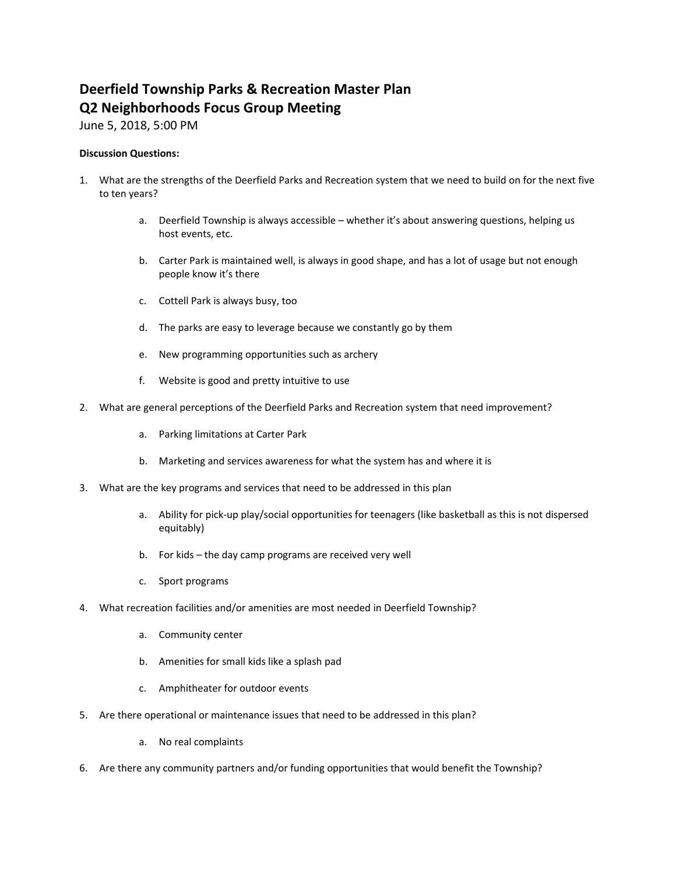# **Deerfield Township Parks & Recreation Master Plan Q2 Neighborhoods Focus Group Meeting**

June 5, 2018, 5:00 PM

- 1. What are the strengths of the Deerfield Parks and Recreation system that we need to build on for the next five to ten years?
	- a. Deerfield Township is always accessible whether it's about answering questions, helping us host events, etc.
	- b. Carter Park is maintained well, is always in good shape, and has a lot of usage but not enough people know it's there
	- c. Cottell Park is always busy, too
	- d. The parks are easy to leverage because we constantly go by them
	- e. New programming opportunities such as archery
	- f. Website is good and pretty intuitive to use
- 2. What are general perceptions of the Deerfield Parks and Recreation system that need improvement?
	- a. Parking limitations at Carter Park
	- b. Marketing and services awareness for what the system has and where it is
- 3. What are the key programs and services that need to be addressed in this plan
	- a. Ability for pick‐up play/social opportunities for teenagers (like basketball as this is not dispersed equitably)
	- b. For kids the day camp programs are received very well
	- c. Sport programs
- 4. What recreation facilities and/or amenities are most needed in Deerfield Township?
	- a. Community center
	- b. Amenities for small kids like a splash pad
	- c. Amphitheater for outdoor events
- 5. Are there operational or maintenance issues that need to be addressed in this plan?
	- a. No real complaints
- 6. Are there any community partners and/or funding opportunities that would benefit the Township?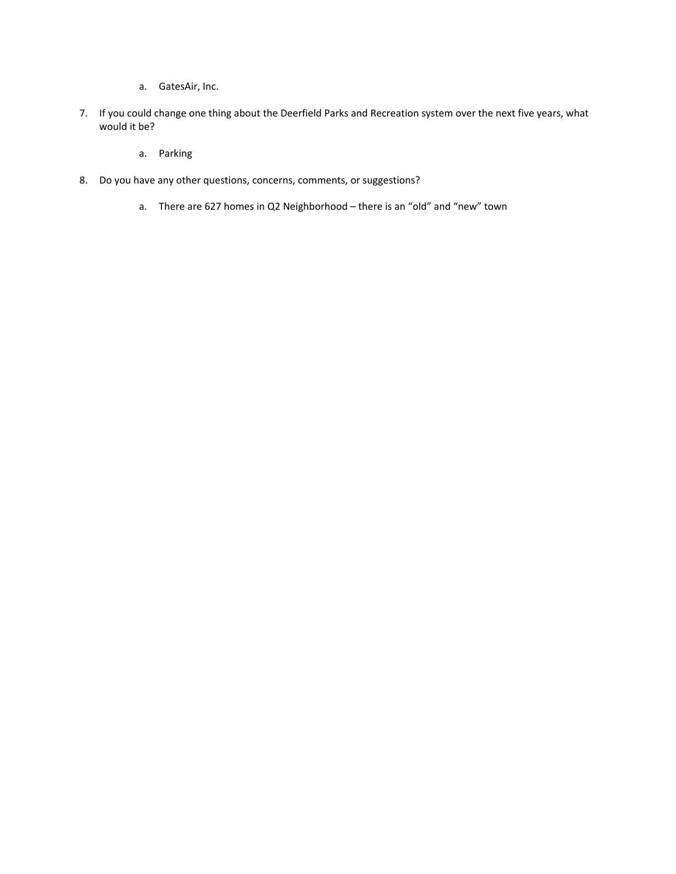- a. GatesAir, Inc.
- 7. If you could change one thing about the Deerfield Parks and Recreation system over the next five years, what would it be?
	- a. Parking
- 8. Do you have any other questions, concerns, comments, or suggestions?
	- a. There are 627 homes in Q2 Neighborhood there is an "old" and "new" town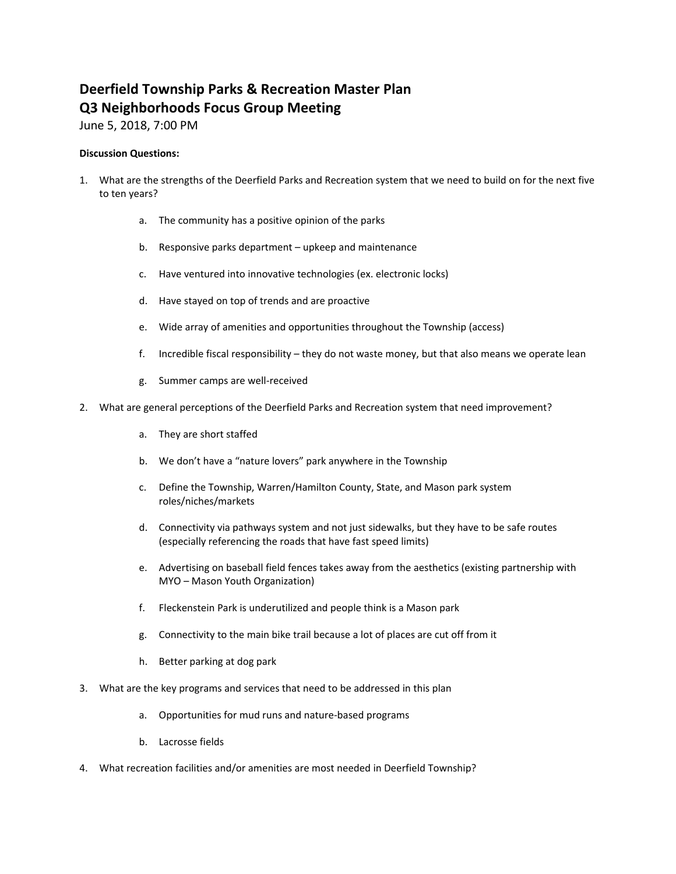# **Deerfield Township Parks & Recreation Master Plan Q3 Neighborhoods Focus Group Meeting**

June 5, 2018, 7:00 PM

- 1. What are the strengths of the Deerfield Parks and Recreation system that we need to build on for the next five to ten years?
	- a. The community has a positive opinion of the parks
	- b. Responsive parks department upkeep and maintenance
	- c. Have ventured into innovative technologies (ex. electronic locks)
	- d. Have stayed on top of trends and are proactive
	- e. Wide array of amenities and opportunities throughout the Township (access)
	- f. Incredible fiscal responsibility they do not waste money, but that also means we operate lean
	- g. Summer camps are well‐received
- 2. What are general perceptions of the Deerfield Parks and Recreation system that need improvement?
	- a. They are short staffed
	- b. We don't have a "nature lovers" park anywhere in the Township
	- c. Define the Township, Warren/Hamilton County, State, and Mason park system roles/niches/markets
	- d. Connectivity via pathways system and not just sidewalks, but they have to be safe routes (especially referencing the roads that have fast speed limits)
	- e. Advertising on baseball field fences takes away from the aesthetics (existing partnership with MYO – Mason Youth Organization)
	- f. Fleckenstein Park is underutilized and people think is a Mason park
	- g. Connectivity to the main bike trail because a lot of places are cut off from it
	- h. Better parking at dog park
- 3. What are the key programs and services that need to be addressed in this plan
	- a. Opportunities for mud runs and nature‐based programs
	- b. Lacrosse fields
- 4. What recreation facilities and/or amenities are most needed in Deerfield Township?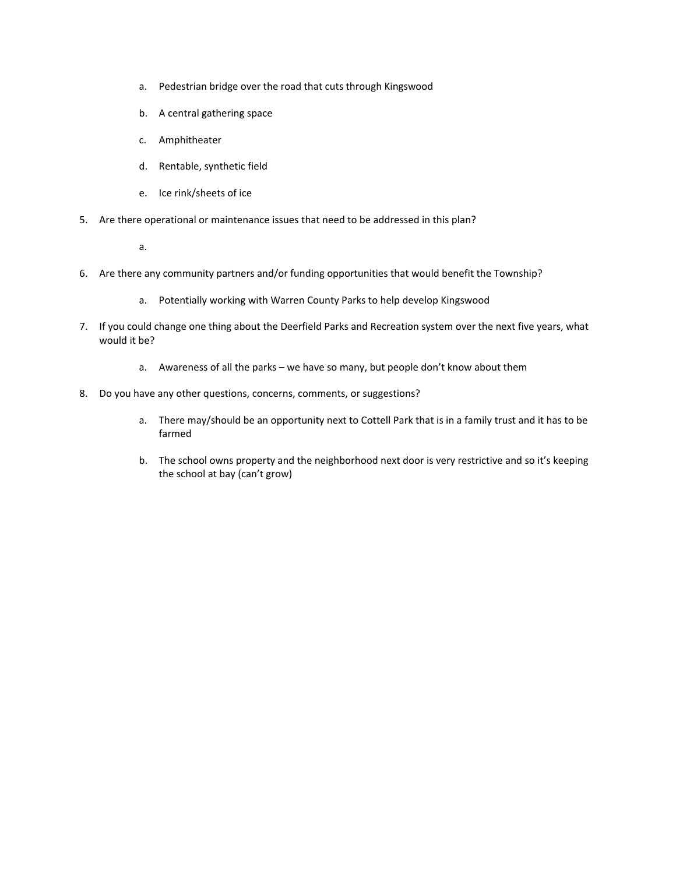- a. Pedestrian bridge over the road that cuts through Kingswood
- b. A central gathering space
- c. Amphitheater
- d. Rentable, synthetic field
- e. Ice rink/sheets of ice
- 5. Are there operational or maintenance issues that need to be addressed in this plan?
	- a.
- 6. Are there any community partners and/or funding opportunities that would benefit the Township?
	- a. Potentially working with Warren County Parks to help develop Kingswood
- 7. If you could change one thing about the Deerfield Parks and Recreation system over the next five years, what would it be?
	- a. Awareness of all the parks we have so many, but people don't know about them
- 8. Do you have any other questions, concerns, comments, or suggestions?
	- a. There may/should be an opportunity next to Cottell Park that is in a family trust and it has to be farmed
	- b. The school owns property and the neighborhood next door is very restrictive and so it's keeping the school at bay (can't grow)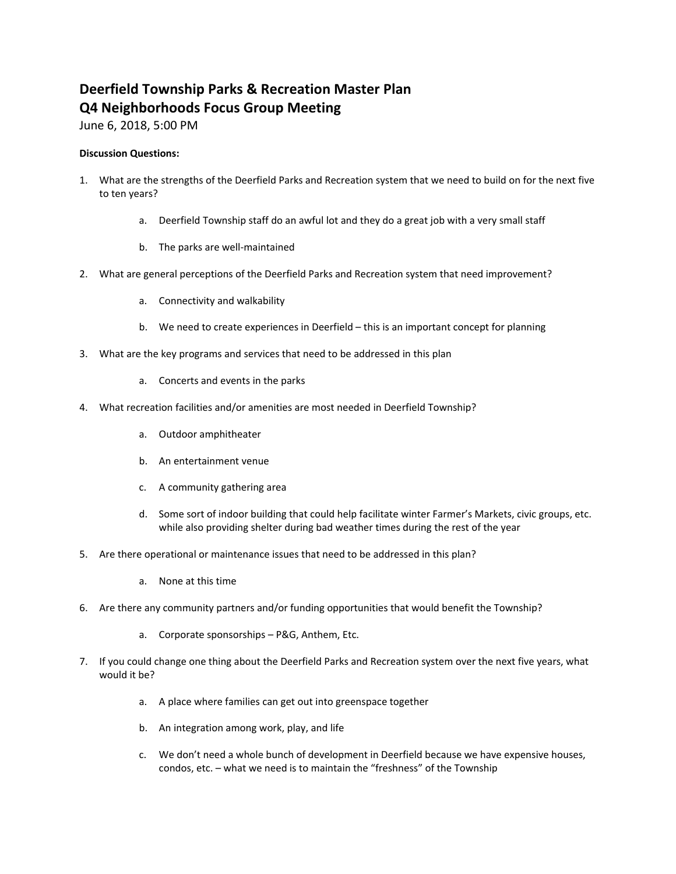# **Deerfield Township Parks & Recreation Master Plan Q4 Neighborhoods Focus Group Meeting**

June 6, 2018, 5:00 PM

- 1. What are the strengths of the Deerfield Parks and Recreation system that we need to build on for the next five to ten years?
	- a. Deerfield Township staff do an awful lot and they do a great job with a very small staff
	- b. The parks are well‐maintained
- 2. What are general perceptions of the Deerfield Parks and Recreation system that need improvement?
	- a. Connectivity and walkability
	- b. We need to create experiences in Deerfield this is an important concept for planning
- 3. What are the key programs and services that need to be addressed in this plan
	- a. Concerts and events in the parks
- 4. What recreation facilities and/or amenities are most needed in Deerfield Township?
	- a. Outdoor amphitheater
	- b. An entertainment venue
	- c. A community gathering area
	- d. Some sort of indoor building that could help facilitate winter Farmer's Markets, civic groups, etc. while also providing shelter during bad weather times during the rest of the year
- 5. Are there operational or maintenance issues that need to be addressed in this plan?
	- a. None at this time
- 6. Are there any community partners and/or funding opportunities that would benefit the Township?
	- a. Corporate sponsorships P&G, Anthem, Etc.
- 7. If you could change one thing about the Deerfield Parks and Recreation system over the next five years, what would it be?
	- a. A place where families can get out into greenspace together
	- b. An integration among work, play, and life
	- c. We don't need a whole bunch of development in Deerfield because we have expensive houses, condos, etc. – what we need is to maintain the "freshness" of the Township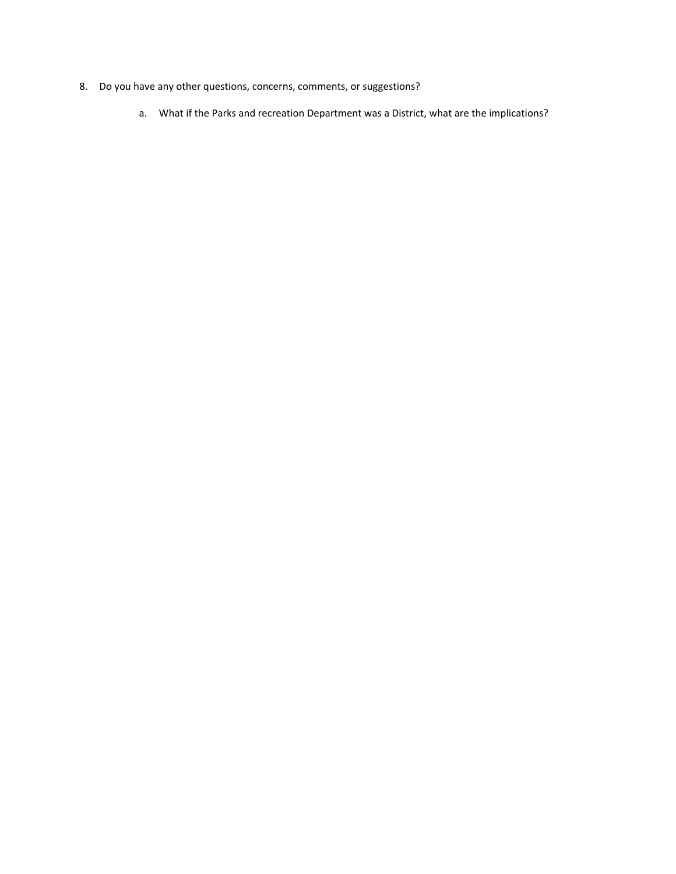- 8. Do you have any other questions, concerns, comments, or suggestions?
	- a. What if the Parks and recreation Department was a District, what are the implications?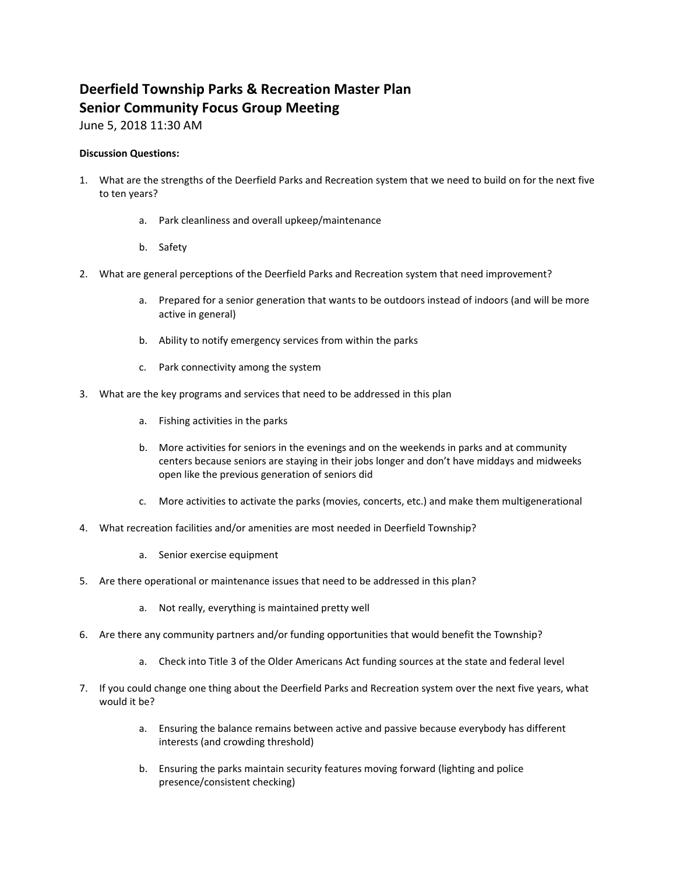# **Deerfield Township Parks & Recreation Master Plan Senior Community Focus Group Meeting**

June 5, 2018 11:30 AM

- 1. What are the strengths of the Deerfield Parks and Recreation system that we need to build on for the next five to ten years?
	- a. Park cleanliness and overall upkeep/maintenance
	- b. Safety
- 2. What are general perceptions of the Deerfield Parks and Recreation system that need improvement?
	- a. Prepared for a senior generation that wants to be outdoors instead of indoors (and will be more active in general)
	- b. Ability to notify emergency services from within the parks
	- c. Park connectivity among the system
- 3. What are the key programs and services that need to be addressed in this plan
	- a. Fishing activities in the parks
	- b. More activities for seniors in the evenings and on the weekends in parks and at community centers because seniors are staying in their jobs longer and don't have middays and midweeks open like the previous generation of seniors did
	- c. More activities to activate the parks (movies, concerts, etc.) and make them multigenerational
- 4. What recreation facilities and/or amenities are most needed in Deerfield Township?
	- a. Senior exercise equipment
- 5. Are there operational or maintenance issues that need to be addressed in this plan?
	- a. Not really, everything is maintained pretty well
- 6. Are there any community partners and/or funding opportunities that would benefit the Township?
	- a. Check into Title 3 of the Older Americans Act funding sources at the state and federal level
- 7. If you could change one thing about the Deerfield Parks and Recreation system over the next five years, what would it be?
	- a. Ensuring the balance remains between active and passive because everybody has different interests (and crowding threshold)
	- b. Ensuring the parks maintain security features moving forward (lighting and police presence/consistent checking)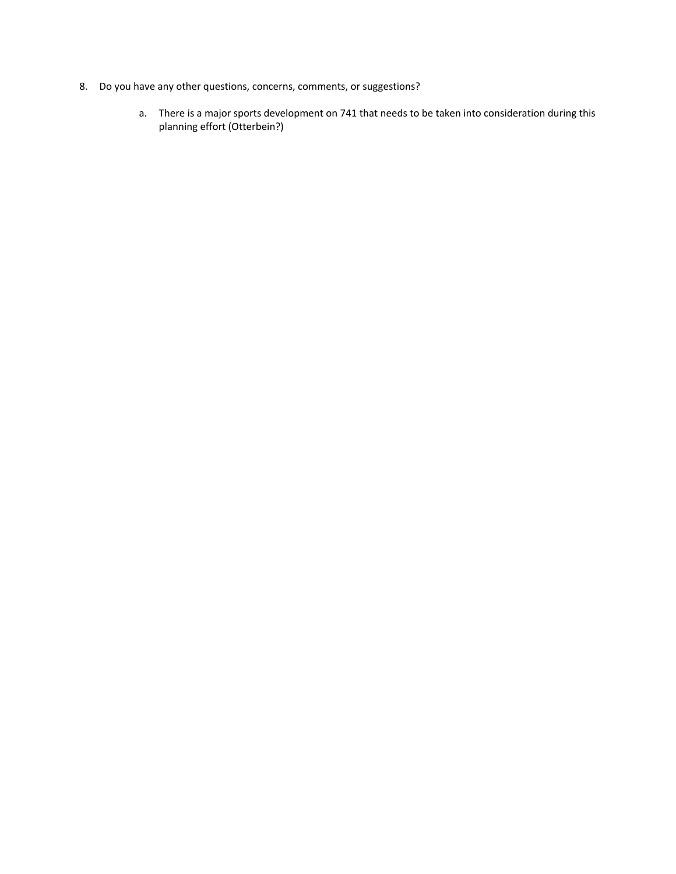- 8. Do you have any other questions, concerns, comments, or suggestions?
	- a. There is a major sports development on 741 that needs to be taken into consideration during this planning effort (Otterbein?)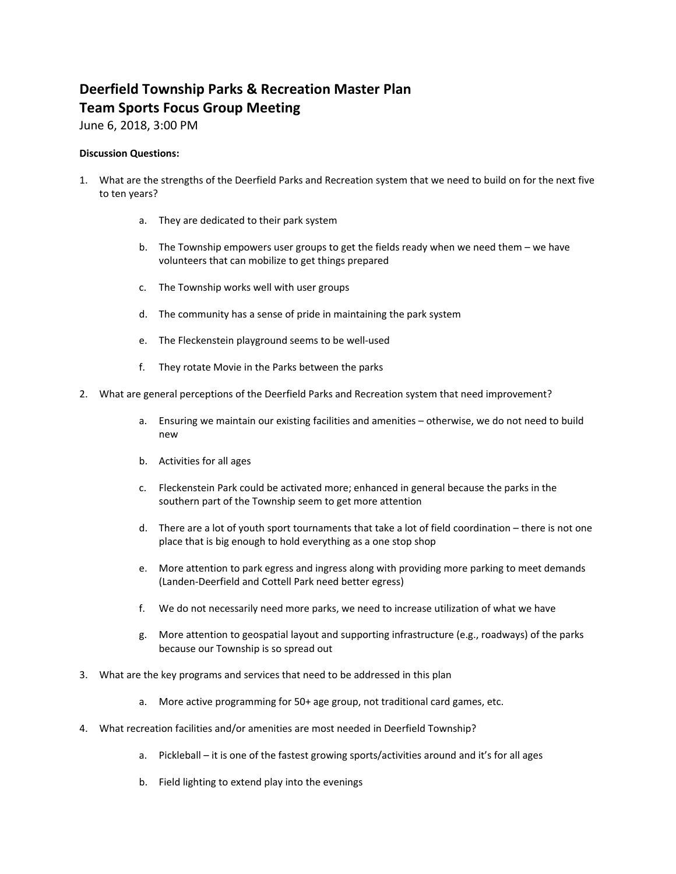## **Deerfield Township Parks & Recreation Master Plan Team Sports Focus Group Meeting**

June 6, 2018, 3:00 PM

- 1. What are the strengths of the Deerfield Parks and Recreation system that we need to build on for the next five to ten years?
	- a. They are dedicated to their park system
	- b. The Township empowers user groups to get the fields ready when we need them we have volunteers that can mobilize to get things prepared
	- c. The Township works well with user groups
	- d. The community has a sense of pride in maintaining the park system
	- e. The Fleckenstein playground seems to be well‐used
	- f. They rotate Movie in the Parks between the parks
- 2. What are general perceptions of the Deerfield Parks and Recreation system that need improvement?
	- a. Ensuring we maintain our existing facilities and amenities otherwise, we do not need to build new
	- b. Activities for all ages
	- c. Fleckenstein Park could be activated more; enhanced in general because the parks in the southern part of the Township seem to get more attention
	- d. There are a lot of youth sport tournaments that take a lot of field coordination there is not one place that is big enough to hold everything as a one stop shop
	- e. More attention to park egress and ingress along with providing more parking to meet demands (Landen‐Deerfield and Cottell Park need better egress)
	- f. We do not necessarily need more parks, we need to increase utilization of what we have
	- g. More attention to geospatial layout and supporting infrastructure (e.g., roadways) of the parks because our Township is so spread out
- 3. What are the key programs and services that need to be addressed in this plan
	- a. More active programming for 50+ age group, not traditional card games, etc.
- 4. What recreation facilities and/or amenities are most needed in Deerfield Township?
	- a. Pickleball it is one of the fastest growing sports/activities around and it's for all ages
	- b. Field lighting to extend play into the evenings